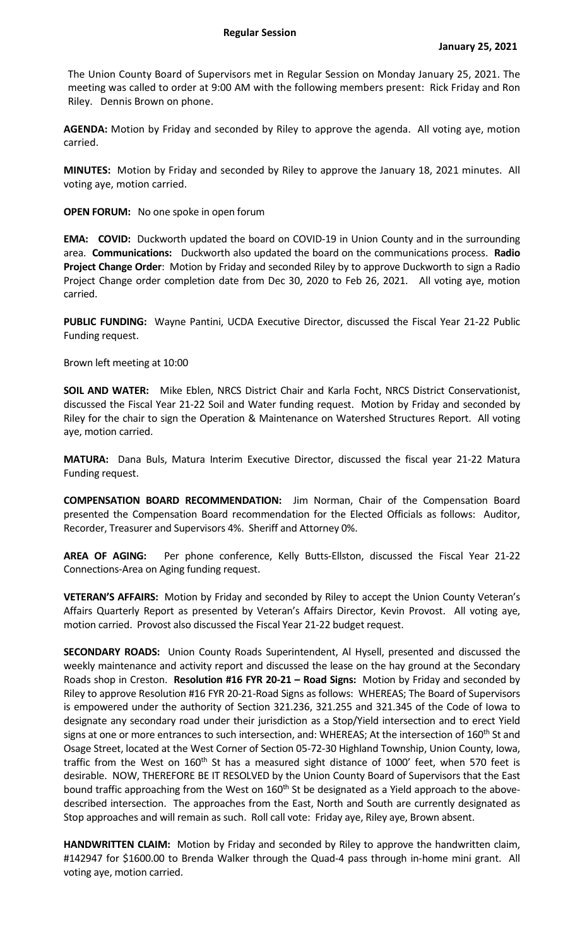The Union County Board of Supervisors met in Regular Session on Monday January 25, 2021. The meeting was called to order at 9:00 AM with the following members present: Rick Friday and Ron Riley. Dennis Brown on phone.

**AGENDA:** Motion by Friday and seconded by Riley to approve the agenda. All voting aye, motion carried.

**MINUTES:** Motion by Friday and seconded by Riley to approve the January 18, 2021 minutes. All voting aye, motion carried.

**OPEN FORUM:** No one spoke in open forum

**EMA:** COVID: Duckworth updated the board on COVID-19 in Union County and in the surrounding area. **Communications:** Duckworth also updated the board on the communications process. **Radio Project Change Order**: Motion by Friday and seconded Riley by to approve Duckworth to sign a Radio Project Change order completion date from Dec 30, 2020 to Feb 26, 2021. All voting aye, motion carried.

**PUBLIC FUNDING:** Wayne Pantini, UCDA Executive Director, discussed the Fiscal Year 21-22 Public Funding request.

Brown left meeting at 10:00

**SOIL AND WATER:** Mike Eblen, NRCS District Chair and Karla Focht, NRCS District Conservationist, discussed the Fiscal Year 21-22 Soil and Water funding request. Motion by Friday and seconded by Riley for the chair to sign the Operation & Maintenance on Watershed Structures Report. All voting aye, motion carried.

**MATURA:** Dana Buls, Matura Interim Executive Director, discussed the fiscal year 21-22 Matura Funding request.

**COMPENSATION BOARD RECOMMENDATION:** Jim Norman, Chair of the Compensation Board presented the Compensation Board recommendation for the Elected Officials as follows: Auditor, Recorder, Treasurer and Supervisors 4%. Sheriff and Attorney 0%.

**AREA OF AGING:** Per phone conference, Kelly Butts-Ellston, discussed the Fiscal Year 21-22 Connections-Area on Aging funding request.

**VETERAN'S AFFAIRS:** Motion by Friday and seconded by Riley to accept the Union County Veteran's Affairs Quarterly Report as presented by Veteran's Affairs Director, Kevin Provost. All voting aye, motion carried. Provost also discussed the Fiscal Year 21-22 budget request.

**SECONDARY ROADS:** Union County Roads Superintendent, Al Hysell, presented and discussed the weekly maintenance and activity report and discussed the lease on the hay ground at the Secondary Roads shop in Creston. **Resolution #16 FYR 20-21 – Road Signs:** Motion by Friday and seconded by Riley to approve Resolution #16 FYR 20-21-Road Signs as follows: WHEREAS; The Board of Supervisors is empowered under the authority of Section 321.236, 321.255 and 321.345 of the Code of Iowa to designate any secondary road under their jurisdiction as a Stop/Yield intersection and to erect Yield signs at one or more entrances to such intersection, and: WHEREAS; At the intersection of 160<sup>th</sup> St and Osage Street, located at the West Corner of Section 05-72-30 Highland Township, Union County, Iowa, traffic from the West on  $160<sup>th</sup>$  St has a measured sight distance of 1000' feet, when 570 feet is desirable. NOW, THEREFORE BE IT RESOLVED by the Union County Board of Supervisors that the East bound traffic approaching from the West on 160<sup>th</sup> St be designated as a Yield approach to the abovedescribed intersection. The approaches from the East, North and South are currently designated as Stop approaches and will remain as such. Roll call vote: Friday aye, Riley aye, Brown absent.

**HANDWRITTEN CLAIM:** Motion by Friday and seconded by Riley to approve the handwritten claim, #142947 for \$1600.00 to Brenda Walker through the Quad-4 pass through in-home mini grant. All voting aye, motion carried.